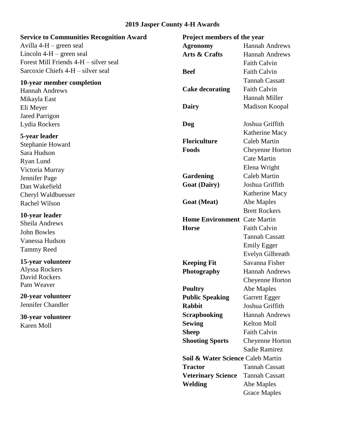## **2019 Jasper County 4-H Awards**

| <b>Service to Communities Recognition Award</b> | Project members of the year         |                       |
|-------------------------------------------------|-------------------------------------|-----------------------|
| Avilla $4-H$ – green seal                       | <b>Agronomy</b>                     | <b>Hannah Andrews</b> |
| Lincoln $4-H$ – green seal                      | Arts & Crafts                       | <b>Hannah Andrews</b> |
| Forest Mill Friends 4-H – silver seal           |                                     | <b>Faith Calvin</b>   |
| Sarcoxie Chiefs 4-H – silver seal               | <b>Beef</b>                         | <b>Faith Calvin</b>   |
| 10-year member completion                       |                                     | <b>Tannah Cassatt</b> |
| <b>Hannah Andrews</b>                           | <b>Cake decorating</b>              | <b>Faith Calvin</b>   |
| Mikayla East                                    |                                     | Hannah Miller         |
| Eli Meyer                                       | Dairy                               | Madison Koopal        |
| <b>Jared Parrigon</b>                           |                                     |                       |
| Lydia Rockers                                   | Dog                                 | Joshua Griffith       |
| 5-year leader                                   |                                     | Katherine Macy        |
| Stephanie Howard                                | <b>Floriculture</b>                 | <b>Caleb Martin</b>   |
| Sara Hudson                                     | Foods                               | Cheyenne Horton       |
| Ryan Lund                                       |                                     | <b>Cate Martin</b>    |
| Victoria Murray                                 |                                     | Elena Wright          |
| Jennifer Page                                   | Gardening                           | <b>Caleb Martin</b>   |
| Dan Wakefield                                   | <b>Goat (Dairy)</b>                 | Joshua Griffith       |
| Cheryl Waldbuesser                              |                                     | Katherine Macy        |
| Rachel Wilson                                   | <b>Goat</b> (Meat)                  | Abe Maples            |
|                                                 |                                     | <b>Brett Rockers</b>  |
| 10-year leader<br>Sheila Andrews                | <b>Home Environment</b> Cate Martin |                       |
| John Bowles                                     | <b>Horse</b>                        | <b>Faith Calvin</b>   |
| Vanessa Hudson                                  |                                     | <b>Tannah Cassatt</b> |
| <b>Tammy Reed</b>                               |                                     | Emily Egger           |
|                                                 |                                     | Evelyn Gilbreath      |
| 15-year volunteer                               | <b>Keeping Fit</b>                  | Savanna Fisher        |
| Alyssa Rockers                                  | Photography                         | <b>Hannah Andrews</b> |
| David Rockers<br>Pam Weaver                     |                                     | Cheyenne Horton       |
|                                                 | <b>Poultry</b>                      | Abe Maples            |
| 20-year volunteer                               | <b>Public Speaking</b>              | Garrett Egger         |
| Jennifer Chandler                               | <b>Rabbit</b>                       | Joshua Griffith       |
| 30-year volunteer                               | <b>Scrapbooking</b>                 | <b>Hannah Andrews</b> |
| Karen Moll                                      | <b>Sewing</b>                       | Kelton Moll           |
|                                                 | <b>Sheep</b>                        | <b>Faith Calvin</b>   |
|                                                 | <b>Shooting Sports</b>              | Cheyenne Horton       |
|                                                 |                                     | <b>Sadie Ramirez</b>  |
|                                                 | Soil & Water Science Caleb Martin   |                       |
|                                                 | <b>Tractor</b>                      | <b>Tannah Cassatt</b> |
|                                                 | <b>Veterinary Science</b>           | <b>Tannah Cassatt</b> |
|                                                 | <b>Welding</b>                      | Abe Maples            |
|                                                 |                                     | <b>Grace Maples</b>   |